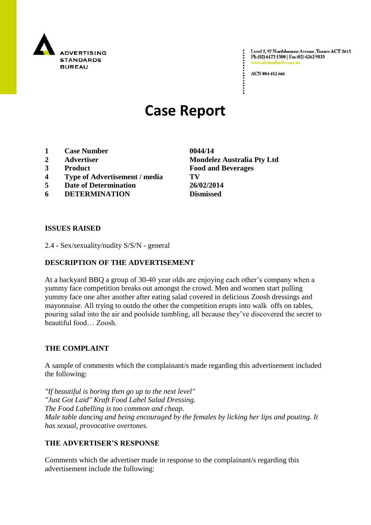

Level 2, 97 Northbourne Avenue, Turner ACT 2612 Ph (02) 6173 1500 | Fax (02) 6262 9833 www.adstandards.o

ACN 084 452 666

# **Case Report**

- **1 Case Number 0044/14**
- 
- 
- **4 Type of Advertisement / media TV**
- **5 Date of Determination 26/02/2014**
- **6 DETERMINATION Dismissed**

**2 Advertiser Mondelez Australia Pty Ltd 3 Product Food and Beverages**

### **ISSUES RAISED**

2.4 - Sex/sexuality/nudity S/S/N - general

# **DESCRIPTION OF THE ADVERTISEMENT**

At a backyard BBQ a group of 30-40 year olds are enjoying each other"s company when a yummy face competition breaks out amongst the crowd. Men and women start pulling yummy face one after another after eating salad covered in delicious Zoosh dressings and mayonnaise. All trying to outdo the other the competition erupts into walk offs on tables, pouring salad into the air and poolside tumbling, all because they"ve discovered the secret to beautiful food… Zoosh.

### **THE COMPLAINT**

A sample of comments which the complainant/s made regarding this advertisement included the following:

*"If beautiful is boring then go up to the next level" "Just Got Laid" Kraft Food Label Salad Dressing. The Food Labelling is too common and cheap. Male table dancing and being encouraged by the females by licking her lips and pouting. It has sexual, provocative overtones.*

## **THE ADVERTISER'S RESPONSE**

Comments which the advertiser made in response to the complainant/s regarding this advertisement include the following: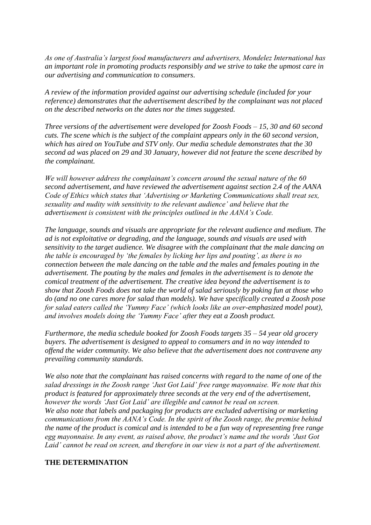*As one of Australia's largest food manufacturers and advertisers, Mondelez International has an important role in promoting products responsibly and we strive to take the upmost care in our advertising and communication to consumers.*

*A review of the information provided against our advertising schedule (included for your reference) demonstrates that the advertisement described by the complainant was not placed on the described networks on the dates nor the times suggested.*

*Three versions of the advertisement were developed for Zoosh Foods – 15, 30 and 60 second cuts. The scene which is the subject of the complaint appears only in the 60 second version, which has aired on YouTube and STV only. Our media schedule demonstrates that the 30 second ad was placed on 29 and 30 January, however did not feature the scene described by the complainant.*

*We will however address the complainant's concern around the sexual nature of the 60 second advertisement, and have reviewed the advertisement against section 2.4 of the AANA Code of Ethics which states that 'Advertising or Marketing Communications shall treat sex, sexuality and nudity with sensitivity to the relevant audience' and believe that the advertisement is consistent with the principles outlined in the AANA's Code.*

*The language, sounds and visuals are appropriate for the relevant audience and medium. The ad is not exploitative or degrading, and the language, sounds and visuals are used with sensitivity to the target audience. We disagree with the complainant that the male dancing on the table is encouraged by 'the females by licking her lips and pouting', as there is no connection between the male dancing on the table and the males and females pouting in the advertisement. The pouting by the males and females in the advertisement is to denote the comical treatment of the advertisement. The creative idea beyond the advertisement is to show that Zoosh Foods does not take the world of salad seriously by poking fun at those who do (and no one cares more for salad than models). We have specifically created a Zoosh pose for salad eaters called the 'Yummy Face' (which looks like an over-emphasized model pout), and involves models doing the 'Yummy Face' after they eat a Zoosh product.*

*Furthermore, the media schedule booked for Zoosh Foods targets 35 – 54 year old grocery buyers. The advertisement is designed to appeal to consumers and in no way intended to offend the wider community. We also believe that the advertisement does not contravene any prevailing community standards.*

*We also note that the complainant has raised concerns with regard to the name of one of the salad dressings in the Zoosh range 'Just Got Laid' free range mayonnaise. We note that this product is featured for approximately three seconds at the very end of the advertisement, however the words 'Just Got Laid' are illegible and cannot be read on screen. We also note that labels and packaging for products are excluded advertising or marketing communications from the AANA's Code. In the spirit of the Zoosh range, the premise behind the name of the product is comical and is intended to be a fun way of representing free range egg mayonnaise. In any event, as raised above, the product's name and the words 'Just Got Laid' cannot be read on screen, and therefore in our view is not a part of the advertisement.*

#### **THE DETERMINATION**